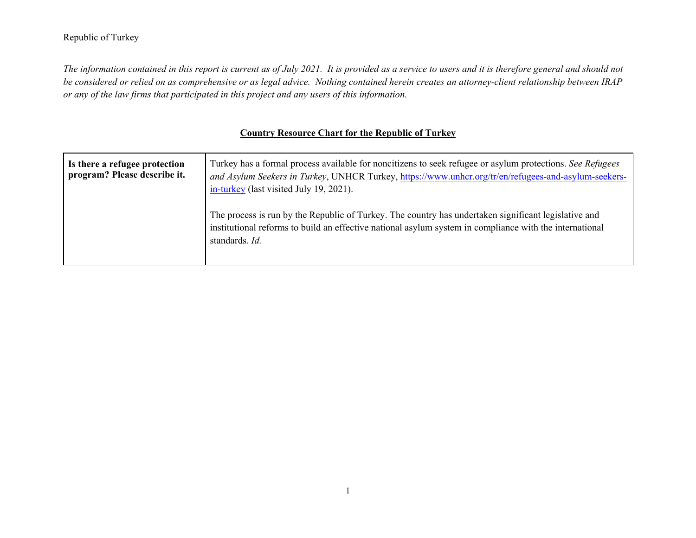## Republic of Turkey

*The information contained in this report is current as of July 2021. It is provided as a service to users and it is therefore general and should not be considered or relied on as comprehensive or as legal advice. Nothing contained herein creates an attorney-client relationship between IRAP or any of the law firms that participated in this project and any users of this information.* 

## **Country Resource Chart for the Republic of Turkey**

| Is there a refugee protection<br>program? Please describe it. | Turkey has a formal process available for noncitizens to seek refugee or asylum protections. See Refugees<br>and Asylum Seekers in Turkey, UNHCR Turkey, https://www.unhcr.org/tr/en/refugees-and-asylum-seekers-<br>in-turkey (last visited July 19, 2021). |
|---------------------------------------------------------------|--------------------------------------------------------------------------------------------------------------------------------------------------------------------------------------------------------------------------------------------------------------|
|                                                               | The process is run by the Republic of Turkey. The country has undertaken significant legislative and<br>institutional reforms to build an effective national asylum system in compliance with the international<br>standards. Id.                            |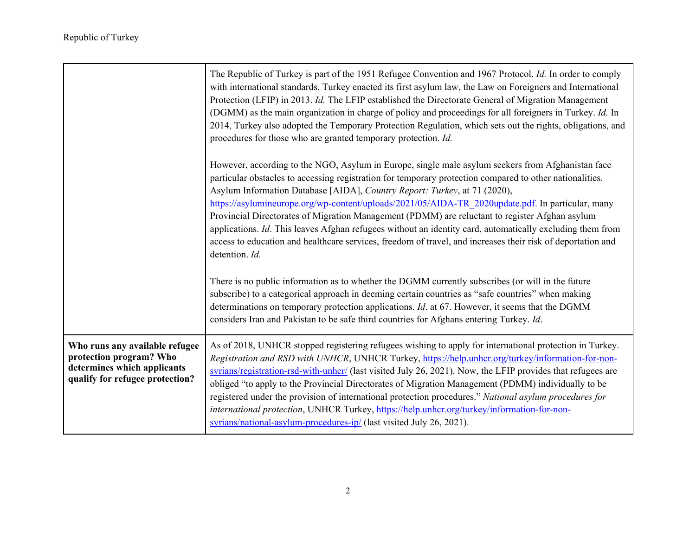|                                                                                                                             | The Republic of Turkey is part of the 1951 Refugee Convention and 1967 Protocol. Id. In order to comply<br>with international standards, Turkey enacted its first asylum law, the Law on Foreigners and International<br>Protection (LFIP) in 2013. Id. The LFIP established the Directorate General of Migration Management<br>(DGMM) as the main organization in charge of policy and proceedings for all foreigners in Turkey. Id. In<br>2014, Turkey also adopted the Temporary Protection Regulation, which sets out the rights, obligations, and<br>procedures for those who are granted temporary protection. Id.                                                                                                                        |
|-----------------------------------------------------------------------------------------------------------------------------|-------------------------------------------------------------------------------------------------------------------------------------------------------------------------------------------------------------------------------------------------------------------------------------------------------------------------------------------------------------------------------------------------------------------------------------------------------------------------------------------------------------------------------------------------------------------------------------------------------------------------------------------------------------------------------------------------------------------------------------------------|
|                                                                                                                             | However, according to the NGO, Asylum in Europe, single male asylum seekers from Afghanistan face<br>particular obstacles to accessing registration for temporary protection compared to other nationalities.<br>Asylum Information Database [AIDA], Country Report: Turkey, at 71 (2020),<br>https://asylumineurope.org/wp-content/uploads/2021/05/AIDA-TR_2020update.pdf. In particular, many<br>Provincial Directorates of Migration Management (PDMM) are reluctant to register Afghan asylum<br>applications. Id. This leaves Afghan refugees without an identity card, automatically excluding them from<br>access to education and healthcare services, freedom of travel, and increases their risk of deportation and<br>detention. Id. |
|                                                                                                                             | There is no public information as to whether the DGMM currently subscribes (or will in the future<br>subscribe) to a categorical approach in deeming certain countries as "safe countries" when making<br>determinations on temporary protection applications. <i>Id.</i> at 67. However, it seems that the DGMM<br>considers Iran and Pakistan to be safe third countries for Afghans entering Turkey. Id.                                                                                                                                                                                                                                                                                                                                     |
| Who runs any available refugee<br>protection program? Who<br>determines which applicants<br>qualify for refugee protection? | As of 2018, UNHCR stopped registering refugees wishing to apply for international protection in Turkey.<br>Registration and RSD with UNHCR, UNHCR Turkey, https://help.unhcr.org/turkey/information-for-non-<br>syrians/registration-rsd-with-unher/ (last visited July 26, 2021). Now, the LFIP provides that refugees are<br>obliged "to apply to the Provincial Directorates of Migration Management (PDMM) individually to be<br>registered under the provision of international protection procedures." National asylum procedures for<br>international protection, UNHCR Turkey, https://help.unhcr.org/turkey/information-for-non-<br>syrians/national-asylum-procedures-ip/ (last visited July 26, 2021).                               |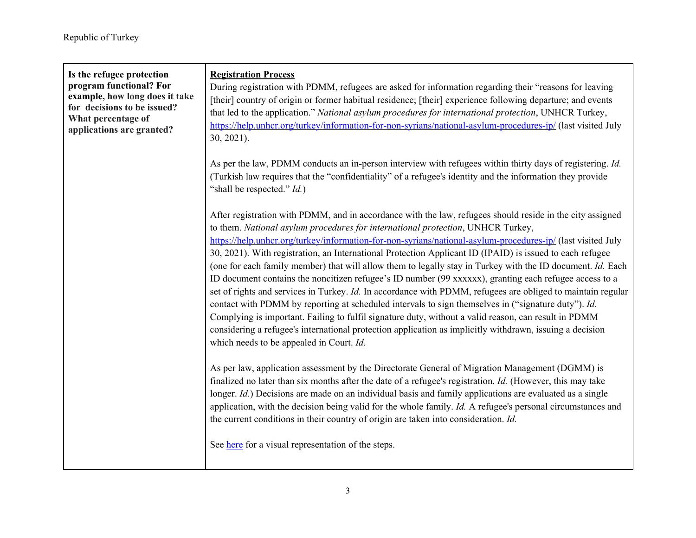| Is the refugee protection<br>program functional? For<br>example, how long does it take<br>for decisions to be issued?<br>What percentage of<br>applications are granted? | <b>Registration Process</b><br>During registration with PDMM, refugees are asked for information regarding their "reasons for leaving<br>[their] country of origin or former habitual residence; [their] experience following departure; and events<br>that led to the application." National asylum procedures for international protection, UNHCR Turkey,<br>https://help.unhcr.org/turkey/information-for-non-syrians/national-asylum-procedures-ip/ (last visited July<br>30, 2021).                                                                                                                                                                                                                                                                                                                                                                                                                                                                                                                                                                                                                                              |
|--------------------------------------------------------------------------------------------------------------------------------------------------------------------------|---------------------------------------------------------------------------------------------------------------------------------------------------------------------------------------------------------------------------------------------------------------------------------------------------------------------------------------------------------------------------------------------------------------------------------------------------------------------------------------------------------------------------------------------------------------------------------------------------------------------------------------------------------------------------------------------------------------------------------------------------------------------------------------------------------------------------------------------------------------------------------------------------------------------------------------------------------------------------------------------------------------------------------------------------------------------------------------------------------------------------------------|
|                                                                                                                                                                          | As per the law, PDMM conducts an in-person interview with refugees within thirty days of registering. Id.<br>(Turkish law requires that the "confidentiality" of a refugee's identity and the information they provide<br>"shall be respected." <i>Id.</i> )                                                                                                                                                                                                                                                                                                                                                                                                                                                                                                                                                                                                                                                                                                                                                                                                                                                                          |
|                                                                                                                                                                          | After registration with PDMM, and in accordance with the law, refugees should reside in the city assigned<br>to them. National asylum procedures for international protection, UNHCR Turkey,<br>https://help.unhcr.org/turkey/information-for-non-syrians/national-asylum-procedures-ip/ (last visited July<br>30, 2021). With registration, an International Protection Applicant ID (IPAID) is issued to each refugee<br>(one for each family member) that will allow them to legally stay in Turkey with the ID document. Id. Each<br>ID document contains the noncitizen refugee's ID number (99 xxxxxx), granting each refugee access to a<br>set of rights and services in Turkey. Id. In accordance with PDMM, refugees are obliged to maintain regular<br>contact with PDMM by reporting at scheduled intervals to sign themselves in ("signature duty"). Id.<br>Complying is important. Failing to fulfil signature duty, without a valid reason, can result in PDMM<br>considering a refugee's international protection application as implicitly withdrawn, issuing a decision<br>which needs to be appealed in Court. Id. |
|                                                                                                                                                                          | As per law, application assessment by the Directorate General of Migration Management (DGMM) is<br>finalized no later than six months after the date of a refugee's registration. Id. (However, this may take<br>longer. Id.) Decisions are made on an individual basis and family applications are evaluated as a single<br>application, with the decision being valid for the whole family. Id. A refugee's personal circumstances and<br>the current conditions in their country of origin are taken into consideration. Id.<br>See here for a visual representation of the steps.                                                                                                                                                                                                                                                                                                                                                                                                                                                                                                                                                 |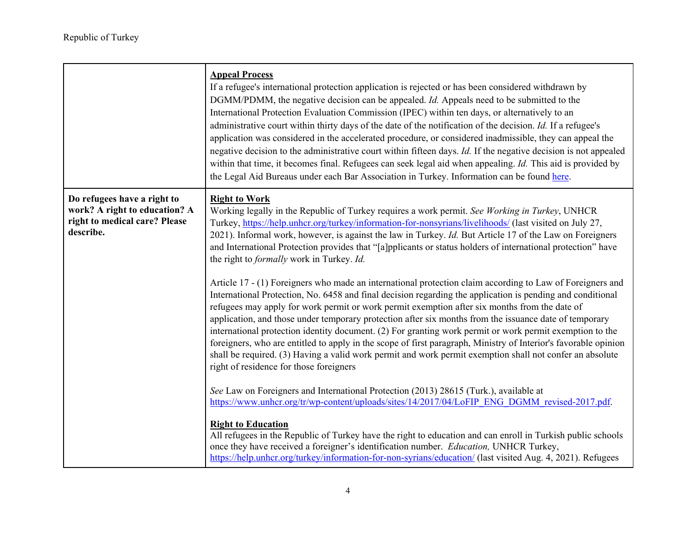|                                                                                                            | <b>Appeal Process</b><br>If a refugee's international protection application is rejected or has been considered withdrawn by<br>DGMM/PDMM, the negative decision can be appealed. <i>Id.</i> Appeals need to be submitted to the<br>International Protection Evaluation Commission (IPEC) within ten days, or alternatively to an<br>administrative court within thirty days of the date of the notification of the decision. Id. If a refugee's<br>application was considered in the accelerated procedure, or considered inadmissible, they can appeal the<br>negative decision to the administrative court within fifteen days. Id. If the negative decision is not appealed<br>within that time, it becomes final. Refugees can seek legal aid when appealing. Id. This aid is provided by<br>the Legal Aid Bureaus under each Bar Association in Turkey. Information can be found here. |
|------------------------------------------------------------------------------------------------------------|----------------------------------------------------------------------------------------------------------------------------------------------------------------------------------------------------------------------------------------------------------------------------------------------------------------------------------------------------------------------------------------------------------------------------------------------------------------------------------------------------------------------------------------------------------------------------------------------------------------------------------------------------------------------------------------------------------------------------------------------------------------------------------------------------------------------------------------------------------------------------------------------|
| Do refugees have a right to<br>work? A right to education? A<br>right to medical care? Please<br>describe. | <b>Right to Work</b><br>Working legally in the Republic of Turkey requires a work permit. See Working in Turkey, UNHCR<br>Turkey, https://help.unhcr.org/turkey/information-for-nonsyrians/livelihoods/ (last visited on July 27,<br>2021). Informal work, however, is against the law in Turkey. <i>Id.</i> But Article 17 of the Law on Foreigners<br>and International Protection provides that "[a]pplicants or status holders of international protection" have<br>the right to <i>formally</i> work in Turkey. Id.<br>Article 17 - (1) Foreigners who made an international protection claim according to Law of Foreigners and<br>International Protection, No. 6458 and final decision regarding the application is pending and conditional<br>refugees may apply for work permit or work permit exemption after six months from the date of                                         |
|                                                                                                            | application, and those under temporary protection after six months from the issuance date of temporary<br>international protection identity document. (2) For granting work permit or work permit exemption to the<br>foreigners, who are entitled to apply in the scope of first paragraph, Ministry of Interior's favorable opinion<br>shall be required. (3) Having a valid work permit and work permit exemption shall not confer an absolute<br>right of residence for those foreigners<br>See Law on Foreigners and International Protection (2013) 28615 (Turk.), available at<br>https://www.unhcr.org/tr/wp-content/uploads/sites/14/2017/04/LoFIP_ENG_DGMM_revised-2017.pdf.                                                                                                                                                                                                       |
|                                                                                                            | <b>Right to Education</b><br>All refugees in the Republic of Turkey have the right to education and can enroll in Turkish public schools<br>once they have received a foreigner's identification number. Education, UNHCR Turkey,<br>https://help.unhcr.org/turkey/information-for-non-syrians/education/ (last visited Aug. 4, 2021). Refugees                                                                                                                                                                                                                                                                                                                                                                                                                                                                                                                                              |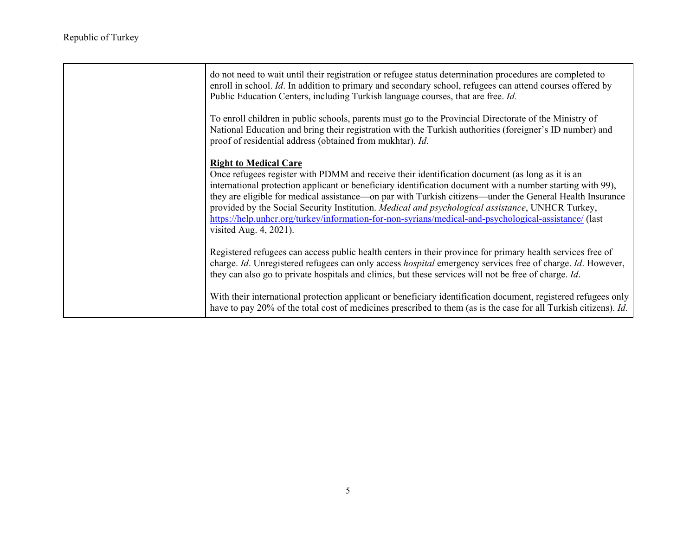| do not need to wait until their registration or refugee status determination procedures are completed to<br>enroll in school. Id. In addition to primary and secondary school, refugees can attend courses offered by<br>Public Education Centers, including Turkish language courses, that are free. Id.                                                                                                                                                                                                                                                                                                   |
|-------------------------------------------------------------------------------------------------------------------------------------------------------------------------------------------------------------------------------------------------------------------------------------------------------------------------------------------------------------------------------------------------------------------------------------------------------------------------------------------------------------------------------------------------------------------------------------------------------------|
| To enroll children in public schools, parents must go to the Provincial Directorate of the Ministry of<br>National Education and bring their registration with the Turkish authorities (foreigner's ID number) and<br>proof of residential address (obtained from mukhtar). Id.                                                                                                                                                                                                                                                                                                                             |
| <b>Right to Medical Care</b><br>Once refugees register with PDMM and receive their identification document (as long as it is an<br>international protection applicant or beneficiary identification document with a number starting with 99),<br>they are eligible for medical assistance—on par with Turkish citizens—under the General Health Insurance<br>provided by the Social Security Institution. <i>Medical and psychological assistance</i> , UNHCR Turkey,<br>https://help.unhcr.org/turkey/information-for-non-syrians/medical-and-psychological-assistance/ (last<br>visited Aug. $4, 2021$ ). |
| Registered refugees can access public health centers in their province for primary health services free of<br>charge. Id. Unregistered refugees can only access hospital emergency services free of charge. Id. However,<br>they can also go to private hospitals and clinics, but these services will not be free of charge. Id.                                                                                                                                                                                                                                                                           |
| With their international protection applicant or beneficiary identification document, registered refugees only<br>have to pay 20% of the total cost of medicines prescribed to them (as is the case for all Turkish citizens). Id.                                                                                                                                                                                                                                                                                                                                                                          |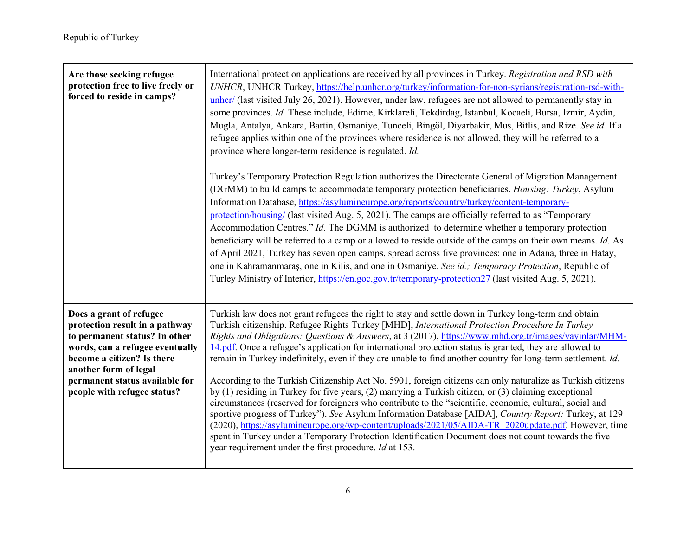| Are those seeking refugee<br>protection free to live freely or<br>forced to reside in camps?                                                                                                                                                          | International protection applications are received by all provinces in Turkey. Registration and RSD with<br>UNHCR, UNHCR Turkey, https://help.unhcr.org/turkey/information-for-non-syrians/registration-rsd-with-<br>unher/ (last visited July 26, 2021). However, under law, refugees are not allowed to permanently stay in<br>some provinces. Id. These include, Edirne, Kirklareli, Tekdirdag, Istanbul, Kocaeli, Bursa, Izmir, Aydin,<br>Mugla, Antalya, Ankara, Bartin, Osmaniye, Tunceli, Bingöl, Diyarbakir, Mus, Bitlis, and Rize. See id. If a<br>refugee applies within one of the provinces where residence is not allowed, they will be referred to a<br>province where longer-term residence is regulated. Id.<br>Turkey's Temporary Protection Regulation authorizes the Directorate General of Migration Management<br>(DGMM) to build camps to accommodate temporary protection beneficiaries. Housing: Turkey, Asylum<br>Information Database, https://asylumineurope.org/reports/country/turkey/content-temporary-<br>protection/housing/ (last visited Aug. 5, 2021). The camps are officially referred to as "Temporary<br>Accommodation Centres." Id. The DGMM is authorized to determine whether a temporary protection<br>beneficiary will be referred to a camp or allowed to reside outside of the camps on their own means. Id. As<br>of April 2021, Turkey has seven open camps, spread across five provinces: one in Adana, three in Hatay,<br>one in Kahramanmaras, one in Kilis, and one in Osmaniye. See id.; Temporary Protection, Republic of<br>Turley Ministry of Interior, https://en.goc.gov.tr/temporary-protection27 (last visited Aug. 5, 2021). |
|-------------------------------------------------------------------------------------------------------------------------------------------------------------------------------------------------------------------------------------------------------|-------------------------------------------------------------------------------------------------------------------------------------------------------------------------------------------------------------------------------------------------------------------------------------------------------------------------------------------------------------------------------------------------------------------------------------------------------------------------------------------------------------------------------------------------------------------------------------------------------------------------------------------------------------------------------------------------------------------------------------------------------------------------------------------------------------------------------------------------------------------------------------------------------------------------------------------------------------------------------------------------------------------------------------------------------------------------------------------------------------------------------------------------------------------------------------------------------------------------------------------------------------------------------------------------------------------------------------------------------------------------------------------------------------------------------------------------------------------------------------------------------------------------------------------------------------------------------------------------------------------------------------------------------------------------------------------|
| Does a grant of refugee<br>protection result in a pathway<br>to permanent status? In other<br>words, can a refugee eventually<br>become a citizen? Is there<br>another form of legal<br>permanent status available for<br>people with refugee status? | Turkish law does not grant refugees the right to stay and settle down in Turkey long-term and obtain<br>Turkish citizenship. Refugee Rights Turkey [MHD], International Protection Procedure In Turkey<br>Rights and Obligations: Questions & Answers, at 3 (2017), https://www.mhd.org.tr/images/yayinlar/MHM-<br>14.pdf. Once a refugee's application for international protection status is granted, they are allowed to<br>remain in Turkey indefinitely, even if they are unable to find another country for long-term settlement. Id.<br>According to the Turkish Citizenship Act No. 5901, foreign citizens can only naturalize as Turkish citizens<br>by (1) residing in Turkey for five years, (2) marrying a Turkish citizen, or (3) claiming exceptional<br>circumstances (reserved for foreigners who contribute to the "scientific, economic, cultural, social and<br>sportive progress of Turkey"). See Asylum Information Database [AIDA], Country Report: Turkey, at 129<br>(2020), https://asylumineurope.org/wp-content/uploads/2021/05/AIDA-TR_2020update.pdf. However, time<br>spent in Turkey under a Temporary Protection Identification Document does not count towards the five<br>year requirement under the first procedure. Id at 153.                                                                                                                                                                                                                                                                                                                                                                                                                         |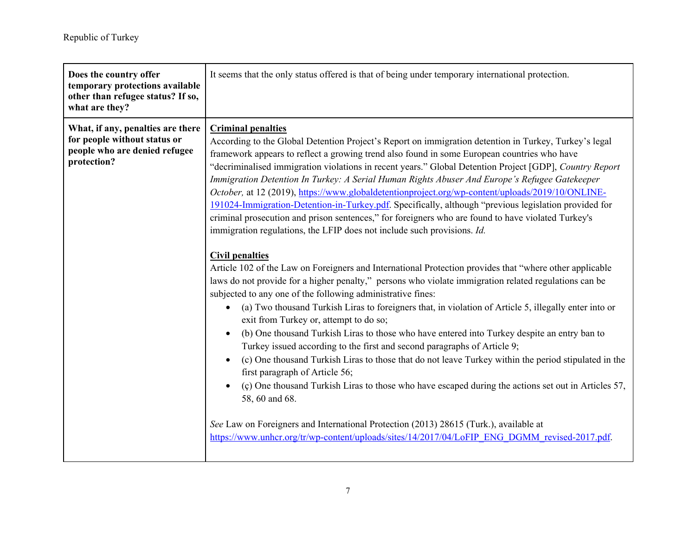| Does the country offer<br>temporary protections available<br>other than refugee status? If so,<br>what are they?  | It seems that the only status offered is that of being under temporary international protection.                                                                                                                                                                                                                                                                                                                                                                                                                                                                                                                                                                                                                                                                                                                                                                                                                                                                                                                                                                                                                                                                                                                                                                                                                                                                                                                                                                                                                                                                                                                                                                                                                                                                                                                                                                                                                                                                               |
|-------------------------------------------------------------------------------------------------------------------|--------------------------------------------------------------------------------------------------------------------------------------------------------------------------------------------------------------------------------------------------------------------------------------------------------------------------------------------------------------------------------------------------------------------------------------------------------------------------------------------------------------------------------------------------------------------------------------------------------------------------------------------------------------------------------------------------------------------------------------------------------------------------------------------------------------------------------------------------------------------------------------------------------------------------------------------------------------------------------------------------------------------------------------------------------------------------------------------------------------------------------------------------------------------------------------------------------------------------------------------------------------------------------------------------------------------------------------------------------------------------------------------------------------------------------------------------------------------------------------------------------------------------------------------------------------------------------------------------------------------------------------------------------------------------------------------------------------------------------------------------------------------------------------------------------------------------------------------------------------------------------------------------------------------------------------------------------------------------------|
| What, if any, penalties are there<br>for people without status or<br>people who are denied refugee<br>protection? | <b>Criminal penalties</b><br>According to the Global Detention Project's Report on immigration detention in Turkey, Turkey's legal<br>framework appears to reflect a growing trend also found in some European countries who have<br>"decriminalised immigration violations in recent years." Global Detention Project [GDP], Country Report<br>Immigration Detention In Turkey: A Serial Human Rights Abuser And Europe's Refugee Gatekeeper<br>October, at 12 (2019), https://www.globaldetentionproject.org/wp-content/uploads/2019/10/ONLINE-<br>191024-Immigration-Detention-in-Turkey.pdf. Specifically, although "previous legislation provided for<br>criminal prosecution and prison sentences," for foreigners who are found to have violated Turkey's<br>immigration regulations, the LFIP does not include such provisions. Id.<br><b>Civil penalties</b><br>Article 102 of the Law on Foreigners and International Protection provides that "where other applicable<br>laws do not provide for a higher penalty," persons who violate immigration related regulations can be<br>subjected to any one of the following administrative fines:<br>(a) Two thousand Turkish Liras to foreigners that, in violation of Article 5, illegally enter into or<br>$\bullet$<br>exit from Turkey or, attempt to do so;<br>(b) One thousand Turkish Liras to those who have entered into Turkey despite an entry ban to<br>Turkey issued according to the first and second paragraphs of Article 9;<br>(c) One thousand Turkish Liras to those that do not leave Turkey within the period stipulated in the<br>$\bullet$<br>first paragraph of Article 56;<br>(c) One thousand Turkish Liras to those who have escaped during the actions set out in Articles 57,<br>58, 60 and 68.<br>See Law on Foreigners and International Protection (2013) 28615 (Turk.), available at<br>https://www.unhcr.org/tr/wp-content/uploads/sites/14/2017/04/LoFIP ENG DGMM revised-2017.pdf. |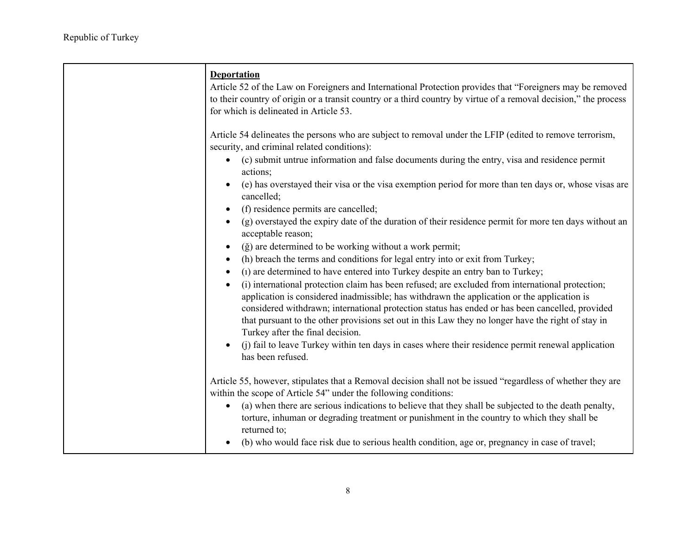| <b>Deportation</b><br>Article 52 of the Law on Foreigners and International Protection provides that "Foreigners may be removed<br>to their country of origin or a transit country or a third country by virtue of a removal decision," the process<br>for which is delineated in Article 53.                                                                                                                                                                                                                                                                                                                                                                                                                                                                                                                                                                                                                                                                                                                                                                                                                                                                                                                                                                                                                                                                                                                                                                          |
|------------------------------------------------------------------------------------------------------------------------------------------------------------------------------------------------------------------------------------------------------------------------------------------------------------------------------------------------------------------------------------------------------------------------------------------------------------------------------------------------------------------------------------------------------------------------------------------------------------------------------------------------------------------------------------------------------------------------------------------------------------------------------------------------------------------------------------------------------------------------------------------------------------------------------------------------------------------------------------------------------------------------------------------------------------------------------------------------------------------------------------------------------------------------------------------------------------------------------------------------------------------------------------------------------------------------------------------------------------------------------------------------------------------------------------------------------------------------|
| Article 54 delineates the persons who are subject to removal under the LFIP (edited to remove terrorism,<br>security, and criminal related conditions):<br>(c) submit untrue information and false documents during the entry, visa and residence permit<br>actions;<br>(e) has overstayed their visa or the visa exemption period for more than ten days or, whose visas are<br>cancelled;<br>(f) residence permits are cancelled;<br>$\bullet$<br>(g) overstayed the expiry date of the duration of their residence permit for more ten days without an<br>$\bullet$<br>acceptable reason;<br>(ğ) are determined to be working without a work permit;<br>$\bullet$<br>(h) breach the terms and conditions for legal entry into or exit from Turkey;<br>$\bullet$<br>(1) are determined to have entered into Turkey despite an entry ban to Turkey;<br>$\bullet$<br>(i) international protection claim has been refused; are excluded from international protection;<br>$\bullet$<br>application is considered inadmissible; has withdrawn the application or the application is<br>considered withdrawn; international protection status has ended or has been cancelled, provided<br>that pursuant to the other provisions set out in this Law they no longer have the right of stay in<br>Turkey after the final decision.<br>(j) fail to leave Turkey within ten days in cases where their residence permit renewal application<br>$\bullet$<br>has been refused. |
| Article 55, however, stipulates that a Removal decision shall not be issued "regardless of whether they are<br>within the scope of Article 54" under the following conditions:<br>(a) when there are serious indications to believe that they shall be subjected to the death penalty,<br>$\bullet$<br>torture, inhuman or degrading treatment or punishment in the country to which they shall be<br>returned to;<br>(b) who would face risk due to serious health condition, age or, pregnancy in case of travel;                                                                                                                                                                                                                                                                                                                                                                                                                                                                                                                                                                                                                                                                                                                                                                                                                                                                                                                                                    |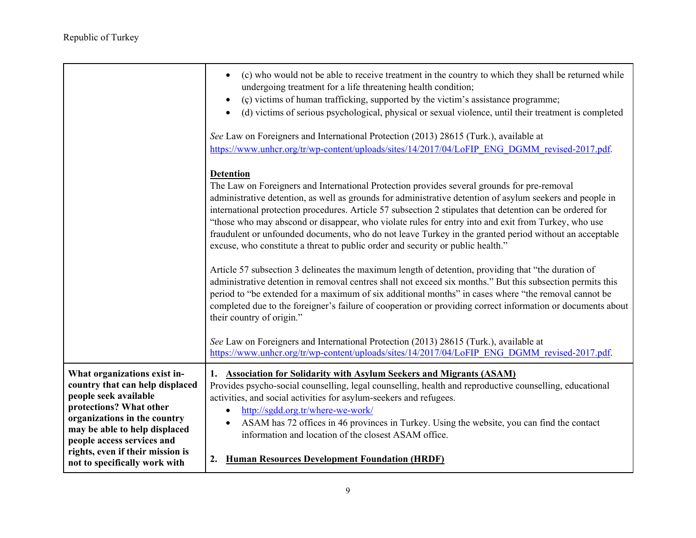|                                                                                                                                                                                                                                                                                         | (c) who would not be able to receive treatment in the country to which they shall be returned while<br>$\bullet$<br>undergoing treatment for a life threatening health condition;<br>(c) victims of human trafficking, supported by the victim's assistance programme;<br>$\bullet$<br>(d) victims of serious psychological, physical or sexual violence, until their treatment is completed<br>$\bullet$<br>See Law on Foreigners and International Protection (2013) 28615 (Turk.), available at<br>https://www.unhcr.org/tr/wp-content/uploads/sites/14/2017/04/LoFIP ENG DGMM revised-2017.pdf.                                           |
|-----------------------------------------------------------------------------------------------------------------------------------------------------------------------------------------------------------------------------------------------------------------------------------------|-----------------------------------------------------------------------------------------------------------------------------------------------------------------------------------------------------------------------------------------------------------------------------------------------------------------------------------------------------------------------------------------------------------------------------------------------------------------------------------------------------------------------------------------------------------------------------------------------------------------------------------------------|
|                                                                                                                                                                                                                                                                                         | <b>Detention</b><br>The Law on Foreigners and International Protection provides several grounds for pre-removal<br>administrative detention, as well as grounds for administrative detention of asylum seekers and people in<br>international protection procedures. Article 57 subsection 2 stipulates that detention can be ordered for<br>"those who may abscond or disappear, who violate rules for entry into and exit from Turkey, who use<br>fraudulent or unfounded documents, who do not leave Turkey in the granted period without an acceptable<br>excuse, who constitute a threat to public order and security or public health." |
|                                                                                                                                                                                                                                                                                         | Article 57 subsection 3 delineates the maximum length of detention, providing that "the duration of<br>administrative detention in removal centres shall not exceed six months." But this subsection permits this<br>period to "be extended for a maximum of six additional months" in cases where "the removal cannot be<br>completed due to the foreigner's failure of cooperation or providing correct information or documents about<br>their country of origin."                                                                                                                                                                         |
|                                                                                                                                                                                                                                                                                         | See Law on Foreigners and International Protection (2013) 28615 (Turk.), available at<br>https://www.unhcr.org/tr/wp-content/uploads/sites/14/2017/04/LoFIP ENG DGMM revised-2017.pdf.                                                                                                                                                                                                                                                                                                                                                                                                                                                        |
| What organizations exist in-<br>country that can help displaced<br>people seek available<br>protections? What other<br>organizations in the country<br>may be able to help displaced<br>people access services and<br>rights, even if their mission is<br>not to specifically work with | 1. Association for Solidarity with Asylum Seekers and Migrants (ASAM)<br>Provides psycho-social counselling, legal counselling, health and reproductive counselling, educational<br>activities, and social activities for asylum-seekers and refugees.<br>http://sgdd.org.tr/where-we-work/<br>$\bullet$<br>ASAM has 72 offices in 46 provinces in Turkey. Using the website, you can find the contact<br>$\bullet$<br>information and location of the closest ASAM office.<br>2. Human Resources Development Foundation (HRDF)                                                                                                               |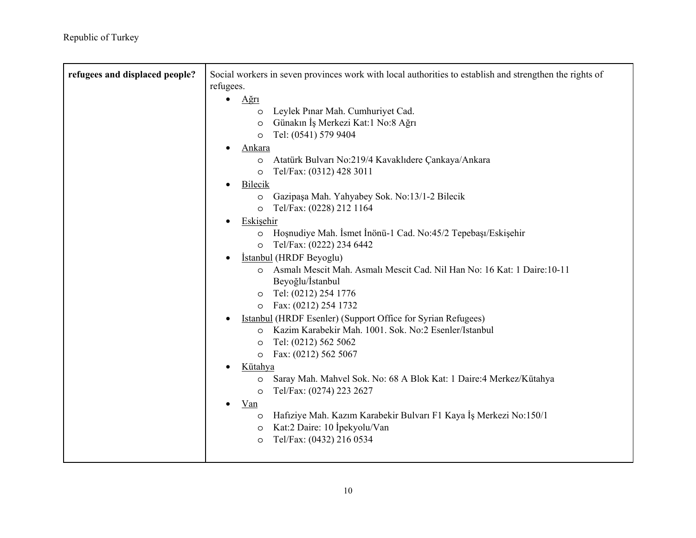| refugees and displaced people? | Social workers in seven provinces work with local authorities to establish and strengthen the rights of |
|--------------------------------|---------------------------------------------------------------------------------------------------------|
|                                | refugees.                                                                                               |
|                                | $A$ ğrı<br>$\bullet$                                                                                    |
|                                | o Leylek Pınar Mah. Cumhuriyet Cad.                                                                     |
|                                | Günakın İş Merkezi Kat:1 No:8 Ağrı<br>$\circ$                                                           |
|                                | Tel: (0541) 579 9404<br>$\circ$                                                                         |
|                                | <u>Ankara</u>                                                                                           |
|                                | Atatürk Bulvarı No:219/4 Kavaklıdere Çankaya/Ankara<br>$\circ$                                          |
|                                | Tel/Fax: (0312) 428 3011<br>$\circ$                                                                     |
|                                | Bilecik<br>$\bullet$                                                                                    |
|                                | O Gazipaşa Mah. Yahyabey Sok. No:13/1-2 Bilecik                                                         |
|                                | Tel/Fax: (0228) 212 1164<br>$\circ$                                                                     |
|                                | Eskişehir<br>$\bullet$                                                                                  |
|                                | Hoşnudiye Mah. İsmet İnönü-1 Cad. No:45/2 Tepebaşı/Eskişehir<br>$\circ$                                 |
|                                | Tel/Fax: (0222) 234 6442<br>$\circ$                                                                     |
|                                | İstanbul (HRDF Beyoglu)<br>$\bullet$                                                                    |
|                                | Asmalı Mescit Mah. Asmalı Mescit Cad. Nil Han No: 16 Kat: 1 Daire: 10-11<br>$\circ$                     |
|                                | Beyoğlu/İstanbul                                                                                        |
|                                | Tel: (0212) 254 1776<br>$\circ$                                                                         |
|                                | o Fax: (0212) 254 1732                                                                                  |
|                                | <b>Istanbul (HRDF Esenler) (Support Office for Syrian Refugees)</b><br>$\bullet$                        |
|                                | o Kazim Karabekir Mah. 1001. Sok. No:2 Esenler/Istanbul                                                 |
|                                | Tel: (0212) 562 5062<br>$\circ$                                                                         |
|                                | Fax: (0212) 562 5067<br>$\circ$                                                                         |
|                                | Kütahya                                                                                                 |
|                                | Saray Mah. Mahvel Sok. No: 68 A Blok Kat: 1 Daire:4 Merkez/Kütahya<br>$\circ$                           |
|                                | Tel/Fax: (0274) 223 2627<br>$\circ$                                                                     |
|                                | Van<br>$\bullet$                                                                                        |
|                                | Hafıziye Mah. Kazım Karabekir Bulvarı F1 Kaya İş Merkezi No:150/1<br>$\circ$                            |
|                                | Kat:2 Daire: 10 İpekyolu/Van<br>$\circ$                                                                 |
|                                | Tel/Fax: (0432) 216 0534<br>$\circ$                                                                     |
|                                |                                                                                                         |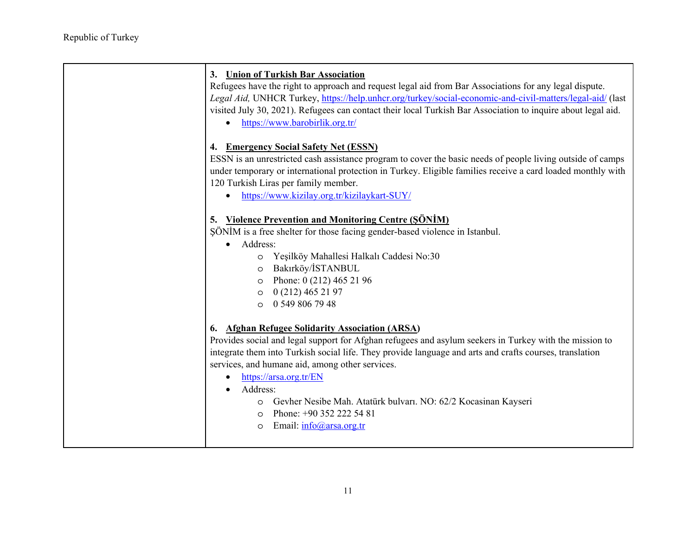| 3. Union of Turkish Bar Association<br>Refugees have the right to approach and request legal aid from Bar Associations for any legal dispute.<br>Legal Aid, UNHCR Turkey, https://help.unhcr.org/turkey/social-economic-and-civil-matters/legal-aid/ (last<br>visited July 30, 2021). Refugees can contact their local Turkish Bar Association to inquire about legal aid.<br>https://www.barobirlik.org.tr/<br>$\bullet$                                                                                                                      |
|------------------------------------------------------------------------------------------------------------------------------------------------------------------------------------------------------------------------------------------------------------------------------------------------------------------------------------------------------------------------------------------------------------------------------------------------------------------------------------------------------------------------------------------------|
| 4. Emergency Social Safety Net (ESSN)<br>ESSN is an unrestricted cash assistance program to cover the basic needs of people living outside of camps<br>under temporary or international protection in Turkey. Eligible families receive a card loaded monthly with<br>120 Turkish Liras per family member.<br>https://www.kizilay.org.tr/kizilaykart-SUY/<br>$\bullet$                                                                                                                                                                         |
| 5. Violence Prevention and Monitoring Centre (SÖNİM)                                                                                                                                                                                                                                                                                                                                                                                                                                                                                           |
| SÖNİM is a free shelter for those facing gender-based violence in Istanbul.                                                                                                                                                                                                                                                                                                                                                                                                                                                                    |
| Address:<br>$\bullet$                                                                                                                                                                                                                                                                                                                                                                                                                                                                                                                          |
| O Yeşilköy Mahallesi Halkalı Caddesi No:30                                                                                                                                                                                                                                                                                                                                                                                                                                                                                                     |
|                                                                                                                                                                                                                                                                                                                                                                                                                                                                                                                                                |
| Bakırköy/İSTANBUL<br>$\circ$                                                                                                                                                                                                                                                                                                                                                                                                                                                                                                                   |
| Phone: 0 (212) 465 21 96<br>$\circ$                                                                                                                                                                                                                                                                                                                                                                                                                                                                                                            |
| 0 (212) 465 21 97<br>$\circ$                                                                                                                                                                                                                                                                                                                                                                                                                                                                                                                   |
| 0.5498067948                                                                                                                                                                                                                                                                                                                                                                                                                                                                                                                                   |
| 6. Afghan Refugee Solidarity Association (ARSA)<br>Provides social and legal support for Afghan refugees and asylum seekers in Turkey with the mission to<br>integrate them into Turkish social life. They provide language and arts and crafts courses, translation<br>services, and humane aid, among other services.<br>https://arsa.org.tr/EN<br>$\bullet$<br>Address:<br>Gevher Nesibe Mah. Atatürk bulvarı. NO: 62/2 Kocasinan Kayseri<br>O<br>Phone: +90 352 222 54 81<br>$\circ$<br>Email: $info(\hat{\omega})$ arsa.org.tr<br>$\circ$ |
|                                                                                                                                                                                                                                                                                                                                                                                                                                                                                                                                                |